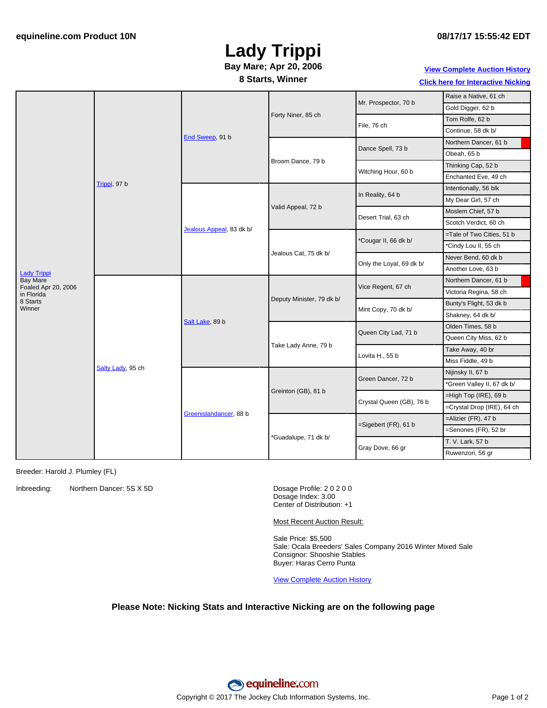# **Lady Trippi**

**8 Starts, Winner**

### **View [Complete](http://www.equineline.com/Free-Auction-Results.cfm?upsellReferenceNumber=&upsellHorseName=&upsellBreedType=&upsellHorseType=&upsellYOB=&lookupAuctionResults=true&tempHorseType=&tempSale=ALL&tempYear=ALL&search_type=HORSE&reference_number=7757575&horse_name=Fateful&horse_type=ALL&year=ALL&sale=ALL&consignor_id=&consignor_name=&buyer_id=&buyer_name=&price_range_low=&price_range_high=&availableConsignors=&availableBuyers=&fromFree5CrossPedigree=Y) Auction History**

**Click here for [Interactive](#page-1-0) Nicking**

| <b>Lady Trippi</b><br>Bay Mare<br>Foaled Apr 20, 2006<br>in Florida<br>8 Starts<br>Winner | Trippi, 97 b      | End Sweep, 91 b          | Forty Niner, 85 ch        | Mr. Prospector, 70 b     | Raise a Native, 61 ch      |
|-------------------------------------------------------------------------------------------|-------------------|--------------------------|---------------------------|--------------------------|----------------------------|
|                                                                                           |                   |                          |                           |                          | Gold Digger, 62 b          |
|                                                                                           |                   |                          |                           | File, 76 ch              | Tom Rolfe, 62 b            |
|                                                                                           |                   |                          |                           |                          | Continue, 58 dk b/         |
|                                                                                           |                   |                          | Broom Dance, 79 b         | Dance Spell, 73 b        | Northern Dancer, 61 b      |
|                                                                                           |                   |                          |                           |                          | Obeah, 65 b                |
|                                                                                           |                   |                          |                           | Witching Hour, 60 b      | Thinking Cap, 52 b         |
|                                                                                           |                   |                          |                           |                          | Enchanted Eve, 49 ch       |
|                                                                                           |                   | Jealous Appeal, 83 dk b/ | Valid Appeal, 72 b        | In Reality, 64 b         | Intentionally, 56 blk      |
|                                                                                           |                   |                          |                           |                          | My Dear Girl, 57 ch        |
|                                                                                           |                   |                          |                           | Desert Trial, 63 ch      | Moslem Chief, 57 b         |
|                                                                                           |                   |                          |                           |                          | Scotch Verdict, 60 ch      |
|                                                                                           |                   |                          | Jealous Cat, 75 dk b/     | *Cougar II, 66 dk b/     | =Tale of Two Cities, 51 b  |
|                                                                                           |                   |                          |                           |                          | *Cindy Lou II, 55 ch       |
|                                                                                           |                   |                          |                           | Only the Loyal, 69 dk b/ | Never Bend, 60 dk b        |
|                                                                                           |                   |                          |                           |                          | Another Love, 63 b         |
|                                                                                           | Salty Lady, 95 ch | Salt Lake, 89 b          | Deputy Minister, 79 dk b/ | Vice Regent, 67 ch       | Northern Dancer, 61 b      |
|                                                                                           |                   |                          |                           |                          | Victoria Regina, 58 ch     |
|                                                                                           |                   |                          |                           | Mint Copy, 70 dk b/      | Bunty's Flight, 53 dk b    |
|                                                                                           |                   |                          |                           |                          | Shakney, 64 dk b/          |
|                                                                                           |                   |                          | Take Lady Anne, 79 b      | Queen City Lad, 71 b     | Olden Times, 58 b          |
|                                                                                           |                   |                          |                           |                          | Queen City Miss, 62 b      |
|                                                                                           |                   |                          |                           | Lovita H., 55 b          | Take Away, 40 br           |
|                                                                                           |                   |                          |                           |                          | Miss Fiddle, 49 b          |
|                                                                                           |                   | Greenislandancer, 88 b   | Greinton (GB), 81 b       | Green Dancer, 72 b       | Nijinsky II, 67 b          |
|                                                                                           |                   |                          |                           |                          | *Green Valley II, 67 dk b/ |
|                                                                                           |                   |                          |                           | Crystal Queen (GB), 76 b | $=$ High Top (IRE), 69 b   |
|                                                                                           |                   |                          |                           |                          | =Crystal Drop (IRE), 64 ch |
|                                                                                           |                   |                          | *Guadalupe, 71 dk b/      | $=$ Sigebert (FR), 61 b  | $=$ Alizier (FR), 47 b     |
|                                                                                           |                   |                          |                           |                          | =Senones (FR), 52 br       |
|                                                                                           |                   |                          |                           | Gray Dove, 66 gr         | T. V. Lark, 57 b           |
|                                                                                           |                   |                          |                           |                          | Ruwenzori, 56 gr           |

Breeder: Harold J. Plumley (FL)

Inbreeding: Northern Dancer: 5S X 5D Dosage Profile: 2 0 2 0 0

Dosage Index: 3.00 Center of Distribution: +1

Most Recent Auction Result:

Sale Price: \$5,500 Sale: Ocala Breeders' Sales Company 2016 Winter Mixed Sale Consignor: Shooshie Stables Buyer: Haras Cerro Punta

View [Complete](http://www.equineline.com/Free-Auction-Results.cfm?upsellReferenceNumber=&upsellHorseName=&upsellBreedType=&upsellHorseType=&upsellYOB=&lookupAuctionResults=true&tempHorseType=&tempSale=ALL&tempYear=ALL&search_type=HORSE&reference_number=7757575&horse_name=Fateful&horse_type=ALL&year=ALL&sale=ALL&consignor_id=&consignor_name=&buyer_id=&buyer_name=&price_range_low=&price_range_high=&availableConsignors=&availableBuyers=&fromFree5CrossPedigree=Y) Auction History

#### **Please Note: Nicking Stats and Interactive Nicking are on the following page**